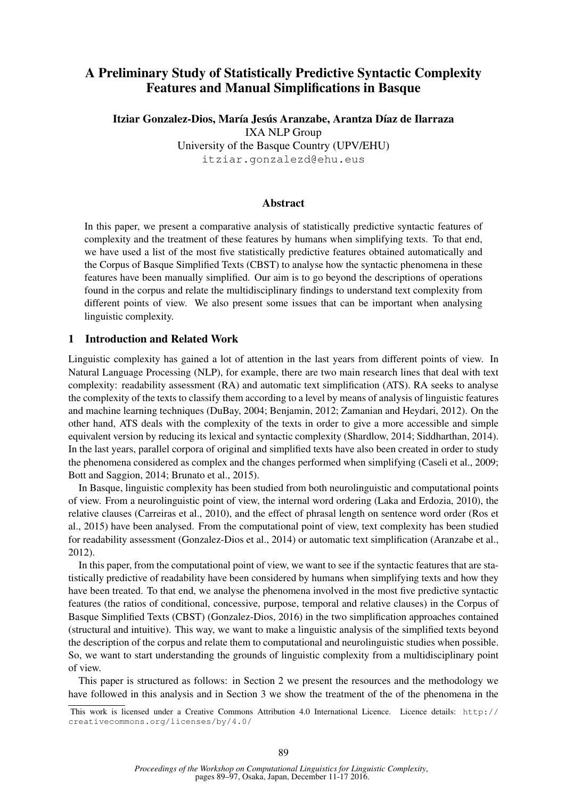# A Preliminary Study of Statistically Predictive Syntactic Complexity Features and Manual Simplifications in Basque

Itziar Gonzalez-Dios, María Jesús Aranzabe, Arantza Díaz de Ilarraza IXA NLP Group University of the Basque Country (UPV/EHU) itziar.gonzalezd@ehu.eus

#### Abstract

In this paper, we present a comparative analysis of statistically predictive syntactic features of complexity and the treatment of these features by humans when simplifying texts. To that end, we have used a list of the most five statistically predictive features obtained automatically and the Corpus of Basque Simplified Texts (CBST) to analyse how the syntactic phenomena in these features have been manually simplified. Our aim is to go beyond the descriptions of operations found in the corpus and relate the multidisciplinary findings to understand text complexity from different points of view. We also present some issues that can be important when analysing linguistic complexity.

#### 1 Introduction and Related Work

Linguistic complexity has gained a lot of attention in the last years from different points of view. In Natural Language Processing (NLP), for example, there are two main research lines that deal with text complexity: readability assessment (RA) and automatic text simplification (ATS). RA seeks to analyse the complexity of the texts to classify them according to a level by means of analysis of linguistic features and machine learning techniques (DuBay, 2004; Benjamin, 2012; Zamanian and Heydari, 2012). On the other hand, ATS deals with the complexity of the texts in order to give a more accessible and simple equivalent version by reducing its lexical and syntactic complexity (Shardlow, 2014; Siddharthan, 2014). In the last years, parallel corpora of original and simplified texts have also been created in order to study the phenomena considered as complex and the changes performed when simplifying (Caseli et al., 2009; Bott and Saggion, 2014; Brunato et al., 2015).

In Basque, linguistic complexity has been studied from both neurolinguistic and computational points of view. From a neurolinguistic point of view, the internal word ordering (Laka and Erdozia, 2010), the relative clauses (Carreiras et al., 2010), and the effect of phrasal length on sentence word order (Ros et al., 2015) have been analysed. From the computational point of view, text complexity has been studied for readability assessment (Gonzalez-Dios et al., 2014) or automatic text simplification (Aranzabe et al., 2012).

In this paper, from the computational point of view, we want to see if the syntactic features that are statistically predictive of readability have been considered by humans when simplifying texts and how they have been treated. To that end, we analyse the phenomena involved in the most five predictive syntactic features (the ratios of conditional, concessive, purpose, temporal and relative clauses) in the Corpus of Basque Simplified Texts (CBST) (Gonzalez-Dios, 2016) in the two simplification approaches contained (structural and intuitive). This way, we want to make a linguistic analysis of the simplified texts beyond the description of the corpus and relate them to computational and neurolinguistic studies when possible. So, we want to start understanding the grounds of linguistic complexity from a multidisciplinary point of view.

This paper is structured as follows: in Section 2 we present the resources and the methodology we have followed in this analysis and in Section 3 we show the treatment of the of the phenomena in the

This work is licensed under a Creative Commons Attribution 4.0 International Licence. Licence details: http:// creativecommons.org/licenses/by/4.0/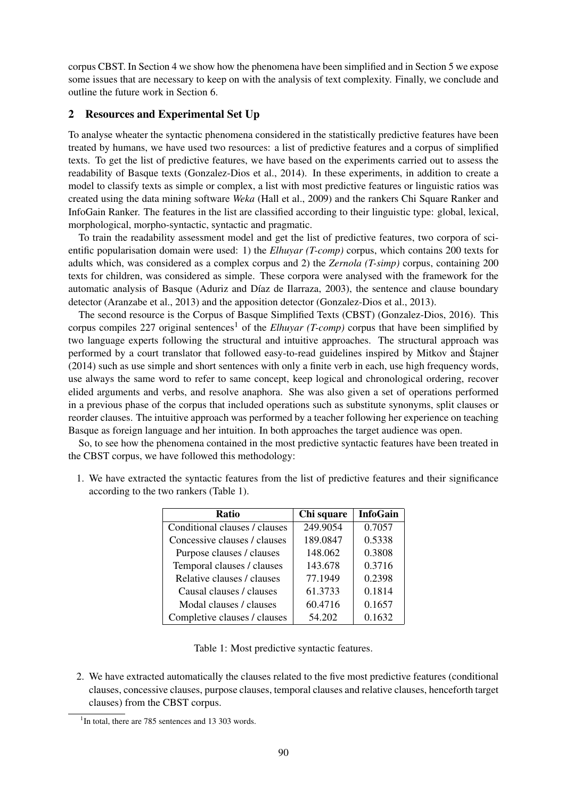corpus CBST. In Section 4 we show how the phenomena have been simplified and in Section 5 we expose some issues that are necessary to keep on with the analysis of text complexity. Finally, we conclude and outline the future work in Section 6.

### 2 Resources and Experimental Set Up

To analyse wheater the syntactic phenomena considered in the statistically predictive features have been treated by humans, we have used two resources: a list of predictive features and a corpus of simplified texts. To get the list of predictive features, we have based on the experiments carried out to assess the readability of Basque texts (Gonzalez-Dios et al., 2014). In these experiments, in addition to create a model to classify texts as simple or complex, a list with most predictive features or linguistic ratios was created using the data mining software *Weka* (Hall et al., 2009) and the rankers Chi Square Ranker and InfoGain Ranker. The features in the list are classified according to their linguistic type: global, lexical, morphological, morpho-syntactic, syntactic and pragmatic.

To train the readability assessment model and get the list of predictive features, two corpora of scientific popularisation domain were used: 1) the *Elhuyar (T-comp)* corpus, which contains 200 texts for adults which, was considered as a complex corpus and 2) the *Zernola (T-simp)* corpus, containing 200 texts for children, was considered as simple. These corpora were analysed with the framework for the automatic analysis of Basque (Aduriz and Díaz de Ilarraza, 2003), the sentence and clause boundary detector (Aranzabe et al., 2013) and the apposition detector (Gonzalez-Dios et al., 2013).

The second resource is the Corpus of Basque Simplified Texts (CBST) (Gonzalez-Dios, 2016). This corpus compiles 227 original sentences<sup>1</sup> of the *Elhuyar (T-comp)* corpus that have been simplified by two language experts following the structural and intuitive approaches. The structural approach was performed by a court translator that followed easy-to-read guidelines inspired by Mitkov and Štajner (2014) such as use simple and short sentences with only a finite verb in each, use high frequency words, use always the same word to refer to same concept, keep logical and chronological ordering, recover elided arguments and verbs, and resolve anaphora. She was also given a set of operations performed in a previous phase of the corpus that included operations such as substitute synonyms, split clauses or reorder clauses. The intuitive approach was performed by a teacher following her experience on teaching Basque as foreign language and her intuition. In both approaches the target audience was open.

So, to see how the phenomena contained in the most predictive syntactic features have been treated in the CBST corpus, we have followed this methodology:

| <b>Ratio</b>                  | Chi square | <b>InfoGain</b> |
|-------------------------------|------------|-----------------|
| Conditional clauses / clauses | 249.9054   | 0.7057          |
| Concessive clauses / clauses  | 189.0847   | 0.5338          |
| Purpose clauses / clauses     | 148.062    | 0.3808          |
| Temporal clauses / clauses    | 143.678    | 0.3716          |
| Relative clauses / clauses    | 77.1949    | 0.2398          |
| Causal clauses / clauses      | 61.3733    | 0.1814          |
| Modal clauses / clauses       | 60.4716    | 0.1657          |
| Completive clauses / clauses  | 54.202     | 0.1632          |

1. We have extracted the syntactic features from the list of predictive features and their significance according to the two rankers (Table 1).

Table 1: Most predictive syntactic features.

2. We have extracted automatically the clauses related to the five most predictive features (conditional clauses, concessive clauses, purpose clauses, temporal clauses and relative clauses, henceforth target clauses) from the CBST corpus.

<sup>&</sup>lt;sup>1</sup>In total, there are 785 sentences and 13 303 words.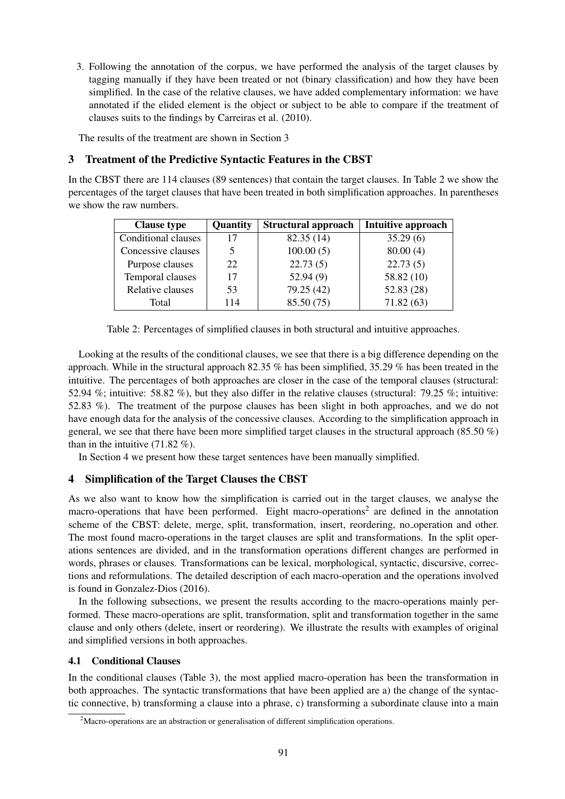3. Following the annotation of the corpus, we have performed the analysis of the target clauses by tagging manually if they have been treated or not (binary classification) and how they have been simplified. In the case of the relative clauses, we have added complementary information: we have annotated if the elided element is the object or subject to be able to compare if the treatment of clauses suits to the findings by Carreiras et al. (2010).

The results of the treatment are shown in Section 3

## 3 Treatment of the Predictive Syntactic Features in the CBST

In the CBST there are 114 clauses (89 sentences) that contain the target clauses. In Table 2 we show the percentages of the target clauses that have been treated in both simplification approaches. In parentheses we show the raw numbers.

| <b>Clause type</b>  | Quantity | <b>Structural approach</b> | Intuitive approach |
|---------------------|----------|----------------------------|--------------------|
| Conditional clauses | 17       | 82.35(14)                  | 35.29(6)           |
| Concessive clauses  | 5.       | 100.00(5)                  | 80.00(4)           |
| Purpose clauses     | 22       | 22.73(5)                   | 22.73(5)           |
| Temporal clauses    | 17       | 52.94(9)                   | 58.82 (10)         |
| Relative clauses    | 53       | 79.25 (42)                 | 52.83(28)          |
| Total               | 114      | 85.50 (75)                 | 71.82(63)          |

Table 2: Percentages of simplified clauses in both structural and intuitive approaches.

Looking at the results of the conditional clauses, we see that there is a big difference depending on the approach. While in the structural approach 82.35 % has been simplified, 35.29 % has been treated in the intuitive. The percentages of both approaches are closer in the case of the temporal clauses (structural: 52.94 %; intuitive: 58.82 %), but they also differ in the relative clauses (structural: 79.25 %; intuitive: 52.83 %). The treatment of the purpose clauses has been slight in both approaches, and we do not have enough data for the analysis of the concessive clauses. According to the simplification approach in general, we see that there have been more simplified target clauses in the structural approach (85.50 %) than in the intuitive  $(71.82 \%)$ .

In Section 4 we present how these target sentences have been manually simplified.

## 4 Simplification of the Target Clauses the CBST

As we also want to know how the simplification is carried out in the target clauses, we analyse the macro-operations that have been performed. Eight macro-operations<sup>2</sup> are defined in the annotation scheme of the CBST: delete, merge, split, transformation, insert, reordering, no operation and other. The most found macro-operations in the target clauses are split and transformations. In the split operations sentences are divided, and in the transformation operations different changes are performed in words, phrases or clauses. Transformations can be lexical, morphological, syntactic, discursive, corrections and reformulations. The detailed description of each macro-operation and the operations involved is found in Gonzalez-Dios (2016).

In the following subsections, we present the results according to the macro-operations mainly performed. These macro-operations are split, transformation, split and transformation together in the same clause and only others (delete, insert or reordering). We illustrate the results with examples of original and simplified versions in both approaches.

### 4.1 Conditional Clauses

In the conditional clauses (Table 3), the most applied macro-operation has been the transformation in both approaches. The syntactic transformations that have been applied are a) the change of the syntactic connective, b) transforming a clause into a phrase, c) transforming a subordinate clause into a main

<sup>&</sup>lt;sup>2</sup>Macro-operations are an abstraction or generalisation of different simplification operations.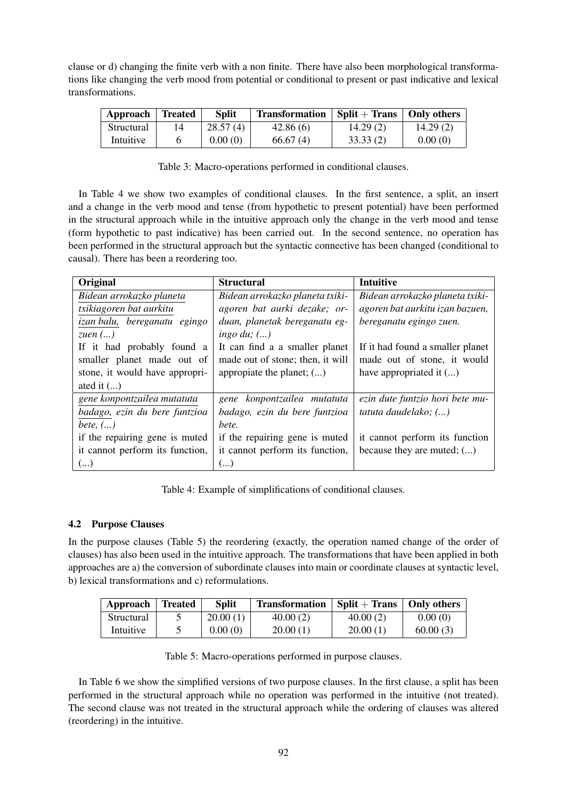clause or d) changing the finite verb with a non finite. There have also been morphological transformations like changing the verb mood from potential or conditional to present or past indicative and lexical transformations.

| Approach Treated |    | <b>Split</b> | Transformation | $\vert$ Split + Trans $\vert$ | <b>Only others</b> |
|------------------|----|--------------|----------------|-------------------------------|--------------------|
| Structural       | 14 | 28.57(4)     | 42.86(6)       | 14.29(2)                      | 14.29(2)           |
| Intuitive        |    | 0.00(0)      | 66.67(4)       | 33.33(2)                      | 0.00(0)            |

Table 3: Macro-operations performed in conditional clauses.

In Table 4 we show two examples of conditional clauses. In the first sentence, a split, an insert and a change in the verb mood and tense (from hypothetic to present potential) have been performed in the structural approach while in the intuitive approach only the change in the verb mood and tense (form hypothetic to past indicative) has been carried out. In the second sentence, no operation has been performed in the structural approach but the syntactic connective has been changed (conditional to causal). There has been a reordering too.

| Original                        | <b>Structural</b>                | <b>Intuitive</b>                 |
|---------------------------------|----------------------------------|----------------------------------|
| Bidean arrokazko planeta        | Bidean arrokazko planeta txiki-  | Bidean arrokazko planeta txiki-  |
| txikiagoren bat aurkitu         | agoren bat aurki dezake; or-     | agoren bat aurkitu izan bazuen,  |
| izan balu, bereganatu egingo    | duan, planetak bereganatu eg-    | bereganatu egingo zuen.          |
| zuen $()$                       | ingo du; $()$                    |                                  |
| If it had probably found a      | It can find a a smaller planet   | If it had found a smaller planet |
| smaller planet made out of      | made out of stone; then, it will | made out of stone, it would      |
| stone, it would have appropri-  | appropiate the planet; $()$      | have appropriated it ()          |
| ated it $(\ldots)$              |                                  |                                  |
| gene konpontzailea mutatuta     | gene konpontzailea mutatuta      | ezin dute funtzio hori bete mu-  |
| badago, ezin du bere funtzioa   | badago, ezin du bere funtzioa    | tatuta daudelako; ()             |
| bete, $()$                      | bete.                            |                                  |
| if the repairing gene is muted  | if the repairing gene is muted   | it cannot perform its function   |
| it cannot perform its function, | it cannot perform its function,  | because they are muted; $()$     |
| ()                              | ()                               |                                  |

Table 4: Example of simplifications of conditional clauses.

#### 4.2 Purpose Clauses

In the purpose clauses (Table 5) the reordering (exactly, the operation named change of the order of clauses) has also been used in the intuitive approach. The transformations that have been applied in both approaches are a) the conversion of subordinate clauses into main or coordinate clauses at syntactic level, b) lexical transformations and c) reformulations.

| Approach $\vert$ | <b>Treated</b> | <b>Split</b> | <b>Transformation</b> | $Split + Trans$ | Only others |
|------------------|----------------|--------------|-----------------------|-----------------|-------------|
| Structural       |                | 20.00(1)     | 40.00(2)              | 40.00(2)        | 0.00(0)     |
| Intuitive        |                | 0.00(0)      | 20.00(1)              | 20.00(1)        | 60.00(3)    |

| Table 5: Macro-operations performed in purpose clauses. |  |
|---------------------------------------------------------|--|
|---------------------------------------------------------|--|

In Table 6 we show the simplified versions of two purpose clauses. In the first clause, a split has been performed in the structural approach while no operation was performed in the intuitive (not treated). The second clause was not treated in the structural approach while the ordering of clauses was altered (reordering) in the intuitive.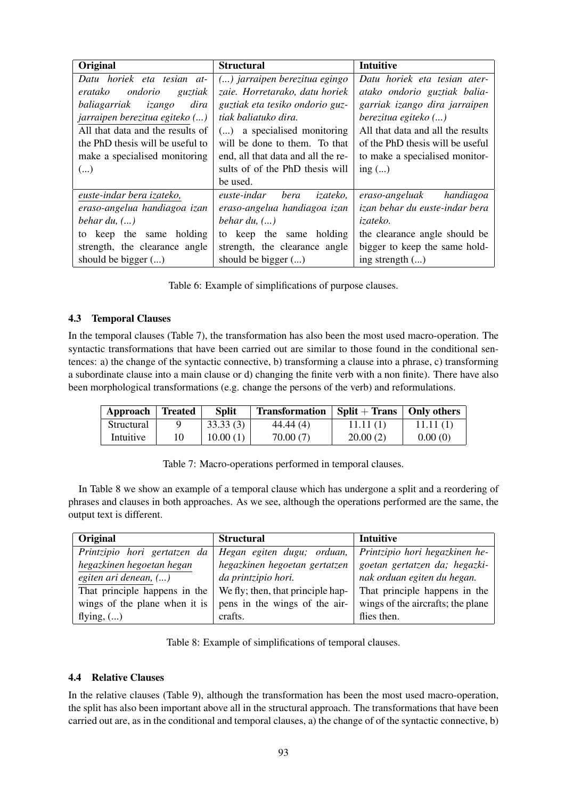| Original                         | <b>Structural</b>                  | Intuitive                         |
|----------------------------------|------------------------------------|-----------------------------------|
| Datu horiek eta tesian at-       | () jarraipen berezitua egingo      | Datu horiek eta tesian ater-      |
| ondorio<br>eratako<br>guztiak    | zaie. Horretarako, datu horiek     | atako ondorio guztiak balia-      |
| baliagarriak izango<br>dira      | guztiak eta tesiko ondorio guz-    | garriak izango dira jarraipen     |
| jarraipen berezitua egiteko ()   | tiak baliatuko dira.               | berezitua egiteko ()              |
| All that data and the results of | () a specialised monitoring        | All that data and all the results |
| the PhD thesis will be useful to | will be done to them. To that      | of the PhD thesis will be useful  |
| make a specialised monitoring    | end, all that data and all the re- | to make a specialised monitor-    |
| ()                               | sults of of the PhD thesis will    | ing $()$                          |
|                                  | be used.                           |                                   |
| euste-indar bera izateko,        | euste-indar<br>bera<br>izateko,    | handiagoa<br>eraso-angeluak       |
| eraso-angelua handiagoa izan     | eraso-angelua handiagoa izan       | izan behar du euste-indar bera    |
| behar du, $()$                   | behar du, $()$                     | izateko.                          |
| to keep the same holding         | to keep the same holding           | the clearance angle should be     |
| strength, the clearance angle    | strength, the clearance angle      | bigger to keep the same hold-     |
| should be bigger $()$            | should be bigger $()$              | ing strength $()$                 |

Table 6: Example of simplifications of purpose clauses.

## 4.3 Temporal Clauses

In the temporal clauses (Table 7), the transformation has also been the most used macro-operation. The syntactic transformations that have been carried out are similar to those found in the conditional sentences: a) the change of the syntactic connective, b) transforming a clause into a phrase, c) transforming a subordinate clause into a main clause or d) changing the finite verb with a non finite). There have also been morphological transformations (e.g. change the persons of the verb) and reformulations.

| Approach   | <b>Treated</b> | <b>Split</b> | <b>Transformation</b> | $Split + Trans$ | Only others |
|------------|----------------|--------------|-----------------------|-----------------|-------------|
| Structural |                | 33.33(3)     | 44.44 (4)             | 11.11(1)        | 11.11(1)    |
| Intuitive  |                | 10.00(1)     | 70.00(7)              | 20.00(2)        | 0.00(0)     |

Table 7: Macro-operations performed in temporal clauses.

In Table 8 we show an example of a temporal clause which has undergone a split and a reordering of phrases and clauses in both approaches. As we see, although the operations performed are the same, the output text is different.

| Original                      | <b>Structural</b>                 | Intuitive                         |
|-------------------------------|-----------------------------------|-----------------------------------|
| Printzipio hori gertatzen da  | Hegan egiten dugu; orduan,        | Printzipio hori hegazkinen he-    |
| hegazkinen hegoetan hegan     | hegazkinen hegoetan gertatzen     | goetan gertatzen da; hegazki-     |
| egiten ari denean, ()         | da printzipio hori.               | nak orduan egiten du hegan.       |
| That principle happens in the | We fly; then, that principle hap- | That principle happens in the     |
| wings of the plane when it is | pens in the wings of the air-     | wings of the aircrafts; the plane |
| flying, $()$                  | crafts.                           | flies then.                       |

Table 8: Example of simplifications of temporal clauses.

#### 4.4 Relative Clauses

In the relative clauses (Table 9), although the transformation has been the most used macro-operation, the split has also been important above all in the structural approach. The transformations that have been carried out are, as in the conditional and temporal clauses, a) the change of of the syntactic connective, b)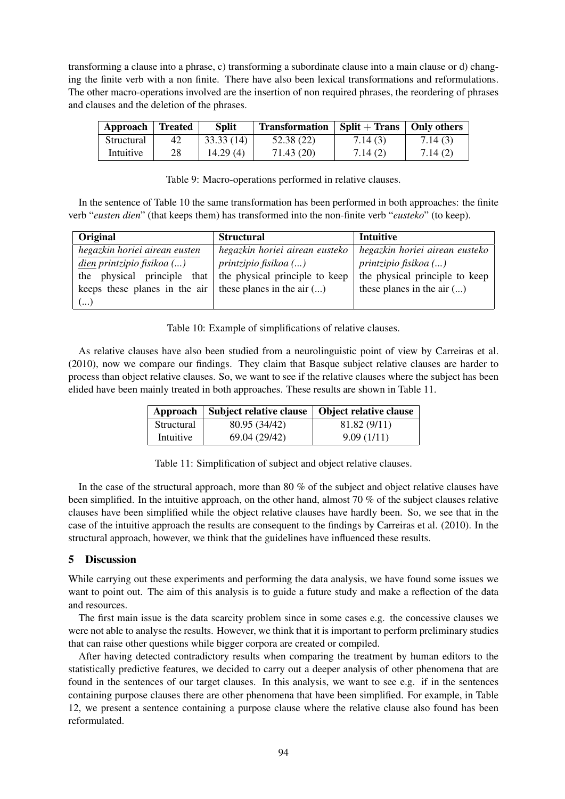transforming a clause into a phrase, c) transforming a subordinate clause into a main clause or d) changing the finite verb with a non finite. There have also been lexical transformations and reformulations. The other macro-operations involved are the insertion of non required phrases, the reordering of phrases and clauses and the deletion of the phrases.

| Approach   | <b>Treated</b> | <b>Split</b> | <b>Transformation</b> | $Split + Trans$ | <b>Only others</b> |
|------------|----------------|--------------|-----------------------|-----------------|--------------------|
| Structural | 42             | 33.33(14)    | 52.38 (22)            | 7.14(3)         | 7.14(3)            |
| Intuitive  | 28             | 14.29(4)     | 71.43 (20)            | 7.14(2)         | 7.14(2)            |

Table 9: Macro-operations performed in relative clauses.

In the sentence of Table 10 the same transformation has been performed in both approaches: the finite verb "*eusten dien*" (that keeps them) has transformed into the non-finite verb "*eusteko*" (to keep).

| Original                                                     | <b>Structural</b>              | Intuitive                      |
|--------------------------------------------------------------|--------------------------------|--------------------------------|
| hegazkin horiei airean eusten                                | hegazkin horiei airean eusteko | hegazkin horiei airean eusteko |
| dien printzipio fisikoa ()                                   | <i>printzipio fisikoa</i> ()   | printzipio fisikoa ()          |
| the physical principle that                                  | the physical principle to keep | the physical principle to keep |
| keeps these planes in the air   these planes in the air $()$ |                                | these planes in the air $()$   |
| $(\ldots)$                                                   |                                |                                |

Table 10: Example of simplifications of relative clauses.

As relative clauses have also been studied from a neurolinguistic point of view by Carreiras et al. (2010), now we compare our findings. They claim that Basque subject relative clauses are harder to process than object relative clauses. So, we want to see if the relative clauses where the subject has been elided have been mainly treated in both approaches. These results are shown in Table 11.

|            | Approach   Subject relative clause   Object relative clause |              |
|------------|-------------------------------------------------------------|--------------|
| Structural | 80.95 (34/42)                                               | 81.82 (9/11) |
| Intuitive  | 69.04 (29/42)                                               | 9.09(1/11)   |

Table 11: Simplification of subject and object relative clauses.

In the case of the structural approach, more than 80 % of the subject and object relative clauses have been simplified. In the intuitive approach, on the other hand, almost 70 % of the subject clauses relative clauses have been simplified while the object relative clauses have hardly been. So, we see that in the case of the intuitive approach the results are consequent to the findings by Carreiras et al. (2010). In the structural approach, however, we think that the guidelines have influenced these results.

#### 5 Discussion

While carrying out these experiments and performing the data analysis, we have found some issues we want to point out. The aim of this analysis is to guide a future study and make a reflection of the data and resources.

The first main issue is the data scarcity problem since in some cases e.g. the concessive clauses we were not able to analyse the results. However, we think that it is important to perform preliminary studies that can raise other questions while bigger corpora are created or compiled.

After having detected contradictory results when comparing the treatment by human editors to the statistically predictive features, we decided to carry out a deeper analysis of other phenomena that are found in the sentences of our target clauses. In this analysis, we want to see e.g. if in the sentences containing purpose clauses there are other phenomena that have been simplified. For example, in Table 12, we present a sentence containing a purpose clause where the relative clause also found has been reformulated.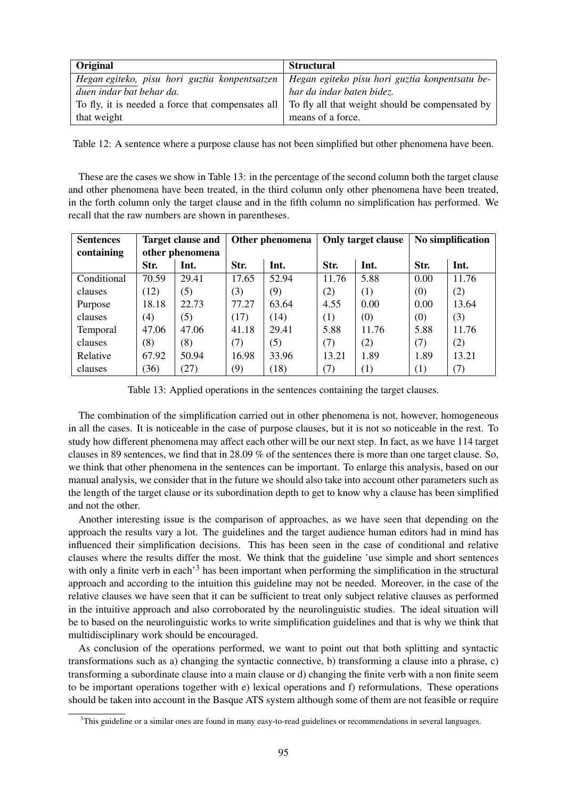| <b>Original</b>                                                                                   | <b>Structural</b>         |
|---------------------------------------------------------------------------------------------------|---------------------------|
| Hegan egiteko, pisu hori guztia konpentsatzen   Hegan egiteko pisu hori guztia konpentsatu be-    |                           |
| duen indar bat behar da.                                                                          | har da indar baten bidez. |
| To fly, it is needed a force that compensates all To fly all that weight should be compensated by |                           |
| that weight                                                                                       | means of a force.         |

Table 12: A sentence where a purpose clause has not been simplified but other phenomena have been.

These are the cases we show in Table 13: in the percentage of the second column both the target clause and other phenomena have been treated, in the third column only other phenomena have been treated, in the forth column only the target clause and in the fifth column no simplification has performed. We recall that the raw numbers are shown in parentheses.

| <b>Sentences</b> | <b>Target clause and</b> |       | Other phenomena |       | Only target clause |       | No simplification |       |
|------------------|--------------------------|-------|-----------------|-------|--------------------|-------|-------------------|-------|
| containing       | other phenomena          |       |                 |       |                    |       |                   |       |
|                  | Str.                     | Int.  | Str.            | Int.  | Str.               | Int.  | Str.              | Int.  |
| Conditional      | 70.59                    | 29.41 | 17.65           | 52.94 | 11.76              | 5.88  | 0.00              | 11.76 |
| clauses          | (12)                     | (5)   | (3)             | (9)   | (2)                | (1)   | (0)               | (2)   |
| Purpose          | 18.18                    | 22.73 | 77.27           | 63.64 | 4.55               | 0.00  | 0.00              | 13.64 |
| clauses          | (4)                      | (5)   | (17)            | (14)  | (1)                | (0)   | (0)               | (3)   |
| Temporal         | 47.06                    | 47.06 | 41.18           | 29.41 | 5.88               | 11.76 | 5.88              | 11.76 |
| clauses          | (8)                      | (8)   | (7)             | (5)   | (7)                | (2)   | (7)               | (2)   |
| Relative         | 67.92                    | 50.94 | 16.98           | 33.96 | 13.21              | 1.89  | 1.89              | 13.21 |
| clauses          | (36)                     | (27)  | (9)             | (18)  | (7)                | (1)   | (1)               | (7)   |

Table 13: Applied operations in the sentences containing the target clauses.

The combination of the simplification carried out in other phenomena is not, however, homogeneous in all the cases. It is noticeable in the case of purpose clauses, but it is not so noticeable in the rest. To study how different phenomena may affect each other will be our next step. In fact, as we have 114 target clauses in 89 sentences, we find that in 28.09 % of the sentences there is more than one target clause. So, we think that other phenomena in the sentences can be important. To enlarge this analysis, based on our manual analysis, we consider that in the future we should also take into account other parameters such as the length of the target clause or its subordination depth to get to know why a clause has been simplified and not the other.

Another interesting issue is the comparison of approaches, as we have seen that depending on the approach the results vary a lot. The guidelines and the target audience human editors had in mind has influenced their simplification decisions. This has been seen in the case of conditional and relative clauses where the results differ the most. We think that the guideline 'use simple and short sentences with only a finite verb in each<sup>3</sup> has been important when performing the simplification in the structural approach and according to the intuition this guideline may not be needed. Moreover, in the case of the relative clauses we have seen that it can be sufficient to treat only subject relative clauses as performed in the intuitive approach and also corroborated by the neurolinguistic studies. The ideal situation will be to based on the neurolinguistic works to write simplification guidelines and that is why we think that multidisciplinary work should be encouraged.

As conclusion of the operations performed, we want to point out that both splitting and syntactic transformations such as a) changing the syntactic connective, b) transforming a clause into a phrase, c) transforming a subordinate clause into a main clause or d) changing the finite verb with a non finite seem to be important operations together with e) lexical operations and f) reformulations. These operations should be taken into account in the Basque ATS system although some of them are not feasible or require

<sup>&</sup>lt;sup>3</sup>This guideline or a similar ones are found in many easy-to-read guidelines or recommendations in several languages.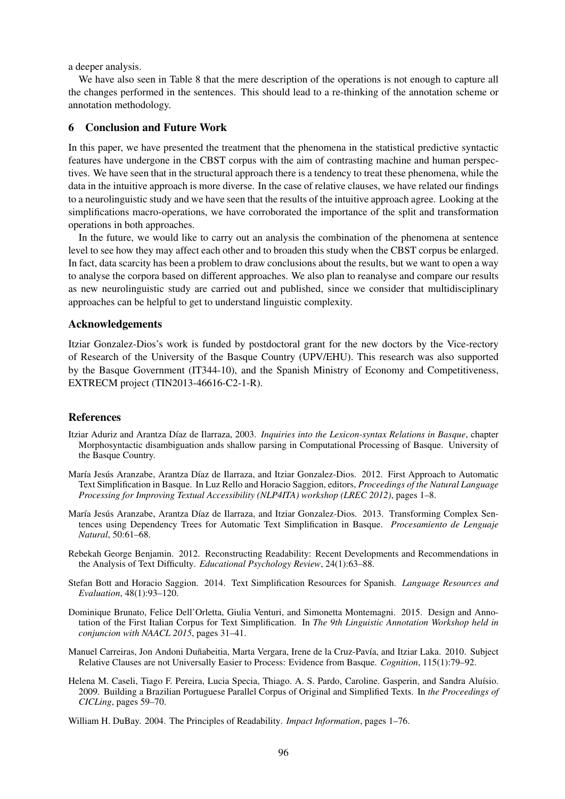a deeper analysis.

We have also seen in Table 8 that the mere description of the operations is not enough to capture all the changes performed in the sentences. This should lead to a re-thinking of the annotation scheme or annotation methodology.

#### 6 Conclusion and Future Work

In this paper, we have presented the treatment that the phenomena in the statistical predictive syntactic features have undergone in the CBST corpus with the aim of contrasting machine and human perspectives. We have seen that in the structural approach there is a tendency to treat these phenomena, while the data in the intuitive approach is more diverse. In the case of relative clauses, we have related our findings to a neurolinguistic study and we have seen that the results of the intuitive approach agree. Looking at the simplifications macro-operations, we have corroborated the importance of the split and transformation operations in both approaches.

In the future, we would like to carry out an analysis the combination of the phenomena at sentence level to see how they may affect each other and to broaden this study when the CBST corpus be enlarged. In fact, data scarcity has been a problem to draw conclusions about the results, but we want to open a way to analyse the corpora based on different approaches. We also plan to reanalyse and compare our results as new neurolinguistic study are carried out and published, since we consider that multidisciplinary approaches can be helpful to get to understand linguistic complexity.

#### Acknowledgements

Itziar Gonzalez-Dios's work is funded by postdoctoral grant for the new doctors by the Vice-rectory of Research of the University of the Basque Country (UPV/EHU). This research was also supported by the Basque Government (IT344-10), and the Spanish Ministry of Economy and Competitiveness, EXTRECM project (TIN2013-46616-C2-1-R).

#### References

- Itziar Aduriz and Arantza D´ıaz de Ilarraza, 2003. *Inquiries into the Lexicon-syntax Relations in Basque*, chapter Morphosyntactic disambiguation ands shallow parsing in Computational Processing of Basque. University of the Basque Country.
- María Jesús Aranzabe, Arantza Díaz de Ilarraza, and Itziar Gonzalez-Dios. 2012. First Approach to Automatic Text Simplification in Basque. In Luz Rello and Horacio Saggion, editors, *Proceedings of the Natural Language Processing for Improving Textual Accessibility (NLP4ITA) workshop (LREC 2012)*, pages 1–8.
- María Jesús Aranzabe, Arantza Díaz de Ilarraza, and Itziar Gonzalez-Dios. 2013. Transforming Complex Sentences using Dependency Trees for Automatic Text Simplification in Basque. *Procesamiento de Lenguaje Natural*, 50:61–68.
- Rebekah George Benjamin. 2012. Reconstructing Readability: Recent Developments and Recommendations in the Analysis of Text Difficulty. *Educational Psychology Review*, 24(1):63–88.
- Stefan Bott and Horacio Saggion. 2014. Text Simplification Resources for Spanish. *Language Resources and Evaluation*, 48(1):93–120.
- Dominique Brunato, Felice Dell'Orletta, Giulia Venturi, and Simonetta Montemagni. 2015. Design and Annotation of the First Italian Corpus for Text Simplification. In *The 9th Linguistic Annotation Workshop held in conjuncion with NAACL 2015*, pages 31–41.
- Manuel Carreiras, Jon Andoni Duñabeitia, Marta Vergara, Irene de la Cruz-Pavía, and Itziar Laka. 2010. Subject Relative Clauses are not Universally Easier to Process: Evidence from Basque. *Cognition*, 115(1):79–92.
- Helena M. Caseli, Tiago F. Pereira, Lucia Specia, Thiago. A. S. Pardo, Caroline. Gasperin, and Sandra Aluísio. 2009. Building a Brazilian Portuguese Parallel Corpus of Original and Simplified Texts. In *the Proceedings of CICLing*, pages 59–70.

William H. DuBay. 2004. The Principles of Readability. *Impact Information*, pages 1–76.